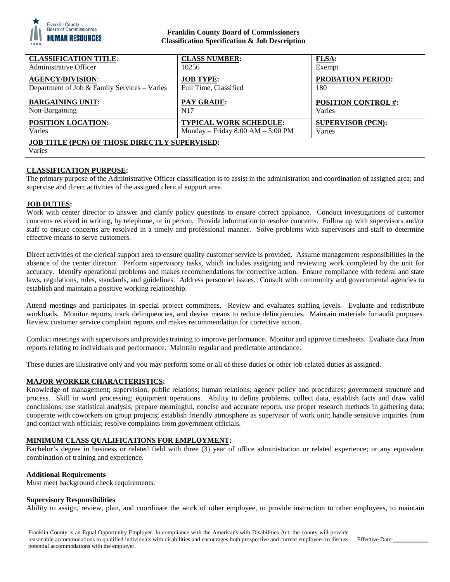

## **Franklin County Board of Commissioners Classification Specification & Job Description**

| <b>CLASSIFICATION TITLE:</b>                                   | <b>CLASS NUMBER:</b>                | <b>FLSA:</b>               |
|----------------------------------------------------------------|-------------------------------------|----------------------------|
| Administrative Officer                                         | 10256                               | Exempt                     |
| <b>AGENCY/DIVISION:</b>                                        | <b>JOB TYPE:</b>                    | <b>PROBATION PERIOD:</b>   |
| Department of Job & Family Services - Varies                   | Full Time, Classified               | 180                        |
| <b>BARGAINING UNIT:</b>                                        | <b>PAY GRADE:</b>                   | <b>POSITION CONTROL #:</b> |
| Non-Bargaining                                                 | N <sub>17</sub>                     | Varies                     |
| POSITION LOCATION:                                             | <b>TYPICAL WORK SCHEDULE:</b>       | <b>SUPERVISOR (PCN):</b>   |
| Varies                                                         | Monday - Friday $8:00 AM - 5:00 PM$ | Varies                     |
| <b>JOB TITLE (PCN) OF THOSE DIRECTLY SUPERVISED:</b><br>Varies |                                     |                            |

# **CLASSIFICATION PURPOSE:**

The primary purpose of the Administrative Officer classification is to assist in the administration and coordination of assigned area; and supervise and direct activities of the assigned clerical support area.

#### **JOB DUTIES:**

Work with center director to answer and clarify policy questions to ensure correct appliance. Conduct investigations of customer concerns received in writing, by telephone, or in person. Provide information to resolve concerns. Follow up with supervisors and/or staff to ensure concerns are resolved in a timely and professional manner. Solve problems with supervisors and staff to determine effective means to serve customers.

Direct activities of the clerical support area to ensure quality customer service is provided. Assume management responsibilities in the absence of the center director. Perform supervisory tasks, which includes assigning and reviewing work completed by the unit for accuracy. Identify operational problems and makes recommendations for corrective action. Ensure compliance with federal and state laws, regulations, rules, standards, and guidelines. Address personnel issues. Consult with community and governmental agencies to establish and maintain a positive working relationship.

Attend meetings and participates in special project committees. Review and evaluates staffing levels. Evaluate and redistribute workloads. Monitor reports, track delinquencies, and devise means to reduce delinquencies. Maintain materials for audit purposes. Review customer service complaint reports and makes recommendation for corrective action.

Conduct meetings with supervisors and provides training to improve performance. Monitor and approve timesheets. Evaluate data from reports relating to individuals and performance. Maintain regular and predictable attendance.

These duties are illustrative only and you may perform some or all of these duties or other job-related duties as assigned.

## **MAJOR WORKER CHARACTERISTICS:**

Knowledge of management; supervision; public relations; human relations; agency policy and procedures; government structure and process. Skill in word processing; equipment operations. Ability to define problems, collect data, establish facts and draw valid conclusions; use statistical analysis; prepare meaningful, concise and accurate reports, use proper research methods in gathering data; cooperate with coworkers on group projects; establish friendly atmosphere as supervisor of work unit; handle sensitive inquiries from and contact with officials; resolve complaints from government officials.

## **MINIMUM CLASS QUALIFICATIONS FOR EMPLOYMENT:**

Bachelor's degree in business or related field with three (3) year of office administration or related experience; or any equivalent combination of training and experience.

#### **Additional Requirements**

Must meet background check requirements.

#### **Supervisory Responsibilities**

Ability to assign, review, plan, and coordinate the work of other employee, to provide instruction to other employees, to maintain

Franklin County is an Equal Opportunity Employer. In compliance with the Americans with Disabilities Act, the county will provide reasonable accommodations to qualified individuals with disabilities and encourages both prospective and current employees to discuss potential accommodations with the employer.

Effective Date: